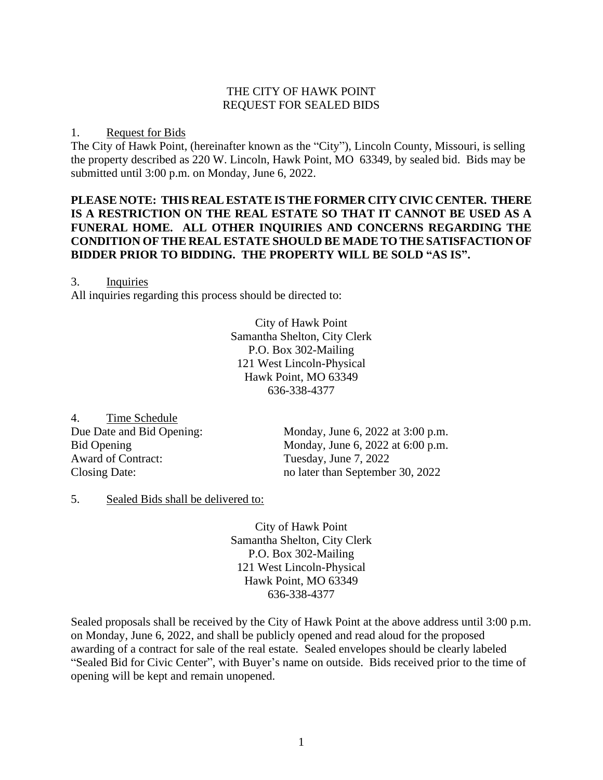#### THE CITY OF HAWK POINT REQUEST FOR SEALED BIDS

#### 1. Request for Bids

The City of Hawk Point, (hereinafter known as the "City"), Lincoln County, Missouri, is selling the property described as 220 W. Lincoln, Hawk Point, MO 63349, by sealed bid. Bids may be submitted until 3:00 p.m. on Monday, June 6, 2022.

### **PLEASE NOTE: THIS REAL ESTATE IS THE FORMER CITY CIVIC CENTER. THERE IS A RESTRICTION ON THE REAL ESTATE SO THAT IT CANNOT BE USED AS A FUNERAL HOME. ALL OTHER INQUIRIES AND CONCERNS REGARDING THE CONDITION OF THE REAL ESTATE SHOULD BE MADE TO THE SATISFACTION OF BIDDER PRIOR TO BIDDING. THE PROPERTY WILL BE SOLD "AS IS".**

#### 3. Inquiries

All inquiries regarding this process should be directed to:

City of Hawk Point Samantha Shelton, City Clerk P.O. Box 302-Mailing 121 West Lincoln-Physical Hawk Point, MO 63349 636-338-4377

4. Time Schedule Award of Contract: Tuesday, June 7, 2022

Due Date and Bid Opening: Monday, June 6, 2022 at 3:00 p.m. Bid Opening Monday, June 6, 2022 at 6:00 p.m. Closing Date: no later than September 30, 2022

### 5. Sealed Bids shall be delivered to:

City of Hawk Point Samantha Shelton, City Clerk P.O. Box 302-Mailing 121 West Lincoln-Physical Hawk Point, MO 63349 636-338-4377

Sealed proposals shall be received by the City of Hawk Point at the above address until 3:00 p.m. on Monday, June 6, 2022, and shall be publicly opened and read aloud for the proposed awarding of a contract for sale of the real estate. Sealed envelopes should be clearly labeled "Sealed Bid for Civic Center", with Buyer's name on outside. Bids received prior to the time of opening will be kept and remain unopened.